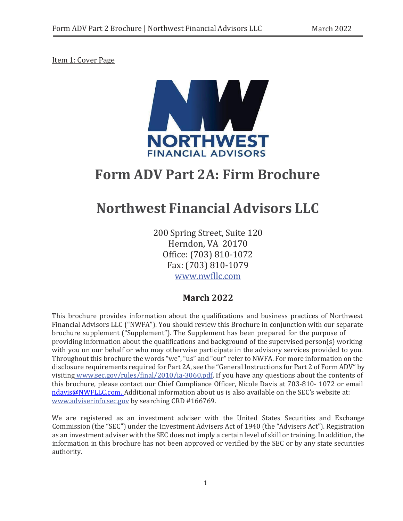<span id="page-0-0"></span>Item 1: Cover Page



# **Form ADV Part 2A: Firm Brochure**

# **Northwest Financial Advisors LLC**

200 Spring Street, Suite 120 Herndon, VA 20170 Office: (703) 810-1072 Fax: (703) 810-1079 [www.nwfllc.com](http://www.nwfllc.com/)

# **March 2022**

This brochure provides information about the qualifications and business practices of Northwest Financial Advisors LLC ("NWFA"). You should review this Brochure in conjunction with our separate brochure supplement ("Supplement"). The Supplement has been prepared for the purpose of providing information about the qualifications and background of the supervised person(s) working with you on our behalf or who may otherwise participate in the advisory services provided to you. Throughout this brochure the words "we", "us" and "our" refer to NWFA. For more information on the disclosure requirements required for Part 2A, see the "General Instructions for Part 2 of Form ADV" by visiting [www.sec.gov/rules/final/2010/ia-3060.pdf.](http://www.sec.gov/rules/final/2010/ia-3060.pdf) If you have any questions about the contents of this brochure, please contact our Chief Compliance Officer, Nicole Davis at 703-810- 1072 or email [ndavis@NWFLLC.com.](mailto:ndavis@NWFLLC.com) Additional information about us is also available on the SEC's website at: [www.adviserinfo.sec.gov](http://www.adviserinfo.sec.gov/) by searching CRD #166769.

We are registered as an investment adviser with the United States Securities and Exchange Commission (the "SEC") under the Investment Advisers Act of 1940 (the "Advisers Act"). Registration as an investment adviser with the SEC does not imply a certain level of skill or training. In addition, the information in this brochure has not been approved or verified by the SEC or by any state securities authority.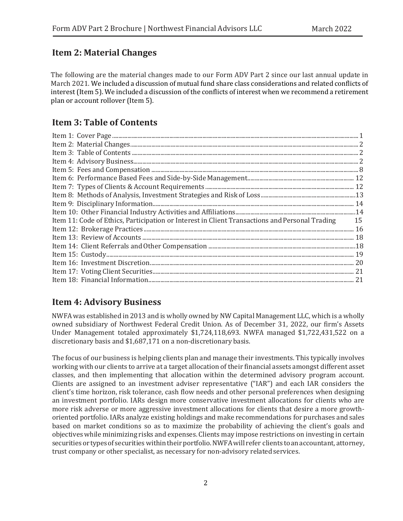# <span id="page-1-0"></span>**Item 2: Material Changes**

The following are the material changes made to our Form ADV Part 2 since our last annual update in March 2021. We included a discussion of mutual fund share class considerations and related conflicts of interest (Item 5). We included a discussion of the conflicts of interest when we recommend a retirement plan or account rollover (Item 5).

# <span id="page-1-1"></span>**Item 3: Table of Contents**

| Item 11: Code of Ethics, Participation or Interest in Client Transactions and Personal Trading | 15 |
|------------------------------------------------------------------------------------------------|----|
|                                                                                                |    |
|                                                                                                |    |
|                                                                                                |    |
|                                                                                                |    |
|                                                                                                |    |
|                                                                                                |    |
|                                                                                                |    |

# <span id="page-1-2"></span>**Item 4: Advisory Business**

NWFA was established in 2013 and is wholly owned by NW Capital Management LLC, which is a wholly owned subsidiary of Northwest Federal Credit Union. As of December 31, 2022, our firm's Assets Under Management totaled approximately \$1,724,118,693. NWFA managed \$1,722,431,522 on a discretionary basis and \$1,687,171 on a non-discretionary basis.

The focus of our business is helping clients plan and manage their investments. This typically involves working with our clients to arrive at a target allocation of their financial assets amongst different asset classes, and then implementing that allocation within the determined advisory program account. Clients are assigned to an investment adviser representative ("IAR") and each IAR considers the client's time horizon, risk tolerance, cash flow needs and other personal preferences when designing an investment portfolio. IARs design more conservative investment allocations for clients who are more risk adverse or more aggressive investment allocations for clients that desire a more growthoriented portfolio. IARs analyze existing holdings and make recommendations for purchases and sales based on market conditions so as to maximize the probability of achieving the client's goals and objectives while minimizing risks and expenses. Clients may impose restrictions on investing in certain securities or types of securities within their portfolio. NWFA will refer clients to an accountant, attorney, trust company or other specialist, as necessary for non-advisory related services.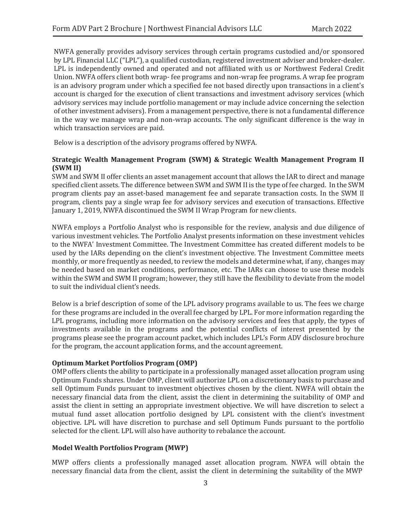NWFA generally provides advisory services through certain programs custodied and/or sponsored by LPL Financial LLC ("LPL"), a qualified custodian, registered investment adviser and broker-dealer. LPL is independently owned and operated and not affiliated with us or Northwest Federal Credit Union. NWFA offers client both wrap- fee programs and non-wrap fee programs. A wrap fee program is an advisory program under which a specified fee not based directly upon transactions in a client's account is charged for the execution of client transactions and investment advisory services (which advisory services may include portfolio management or may include advice concerning the selection of other investment advisers). From a management perspective, there is not a fundamental difference in the way we manage wrap and non-wrap accounts. The only significant difference is the way in which transaction services are paid.

Below is a description of the advisory programs offered by NWFA.

#### **Strategic Wealth Management Program (SWM) & Strategic Wealth Management Program II (SWM II)**

SWM and SWM II offer clients an asset management account that allows the IAR to direct and manage specified client assets. The difference between SWM and SWM II is the type of fee charged. In the SWM program clients pay an asset-based management fee and separate transaction costs. In the SWM II program, clients pay a single wrap fee for advisory services and execution of transactions. Effective January 1, 2019, NWFA discontinued the SWM II Wrap Program for newclients.

NWFA employs a Portfolio Analyst who is responsible for the review, analysis and due diligence of various investment vehicles. The Portfolio Analyst presents information on these investment vehicles to the NWFA' Investment Committee. The Investment Committee has created different models to be used by the IARs depending on the client's investment objective. The Investment Committee meets monthly, or more frequently as needed, to review the models and determine what, if any, changes may be needed based on market conditions, performance, etc. The IARs can choose to use these models within the SWM and SWM II program; however, they still have the flexibility to deviate from the model to suit the individual client's needs.

Below is a brief description of some of the LPL advisory programs available to us. The fees we charge for these programs are included in the overall fee charged by LPL. For more information regarding the LPL programs, including more information on the advisory services and fees that apply, the types of investments available in the programs and the potential conflicts of interest presented by the programs please see the program account packet, which includes LPL's Form ADV disclosure brochure for the program, the account application forms, and the account agreement.

#### **Optimum Market Portfolios Program (OMP)**

OMP offers clients the ability to participate in a professionally managed asset allocation program using Optimum Funds shares. Under OMP, client will authorize LPL on a discretionary basis to purchase and sell Optimum Funds pursuant to investment objectives chosen by the client. NWFA will obtain the necessary financial data from the client, assist the client in determining the suitability of OMP and assist the client in setting an appropriate investment objective. We will have discretion to select a mutual fund asset allocation portfolio designed by LPL consistent with the client's investment objective. LPL will have discretion to purchase and sell Optimum Funds pursuant to the portfolio selected for the client. LPL will also have authority to rebalance the account.

#### **Model Wealth Portfolios Program (MWP)**

MWP offers clients a professionally managed asset allocation program. NWFA will obtain the necessary financial data from the client, assist the client in determining the suitability of the MWP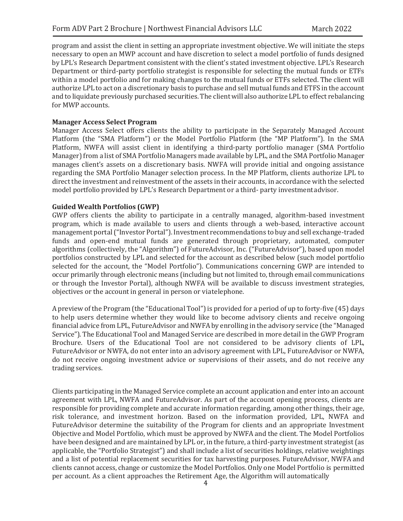program and assist the client in setting an appropriate investment objective. We will initiate the steps necessary to open an MWP account and have discretion to select a model portfolio of funds designed by LPL's Research Department consistent with the client's stated investment objective. LPL's Research Department or third-party portfolio strategist is responsible for selecting the mutual funds or ETFs within a model portfolio and for making changes to the mutual funds or ETFs selected. The client will authorize LPL to act on a discretionary basis to purchase and sell mutual funds and ETFS in the account and to liquidate previously purchased securities. The client will also authorize LPL to effect rebalancing for MWP accounts.

#### **Manager Access Select Program**

Manager Access Select offers clients the ability to participate in the Separately Managed Account Platform (the "SMA Platform") or the Model Portfolio Platform (the "MP Platform"). In the SMA Platform, NWFA will assist client in identifying a third-party portfolio manager (SMA Portfolio Manager) from a list of SMA Portfolio Managers made available by LPL, and the SMA Portfolio Manager manages client's assets on a discretionary basis. NWFA will provide initial and ongoing assistance regarding the SMA Portfolio Manager selection process. In the MP Platform, clients authorize LPL to direct the investment and reinvestment of the assets in their accounts, in accordance with the selected model portfolio provided by LPL's Research Department or a third- party investmentadvisor.

#### **Guided Wealth Portfolios (GWP)**

GWP offers clients the ability to participate in a centrally managed, algorithm-based investment program, which is made available to users and clients through a web-based, interactive account management portal("Investor Portal"). Investment recommendations to buy and sell exchange-traded funds and open-end mutual funds are generated through proprietary, automated, computer algorithms (collectively, the "Algorithm") of FutureAdvisor, Inc. ("FutureAdvisor"), based upon model portfolios constructed by LPL and selected for the account as described below (such model portfolio selected for the account, the "Model Portfolio"). Communications concerning GWP are intended to occur primarily through electronic means (including but not limited to, through email communications or through the Investor Portal), although NWFA will be available to discuss investment strategies, objectives or the account in general in person or viatelephone.

A preview of the Program (the "Educational Tool") is provided for a period of up to forty-five (45) days to help users determine whether they would like to become advisory clients and receive ongoing financial advice from LPL, FutureAdvisor and NWFA by enrolling in the advisory service (the "Managed Service"). The Educational Tool and Managed Service are described in more detail in the GWP Program Brochure. Users of the Educational Tool are not considered to be advisory clients of LPL, FutureAdvisor or NWFA, do not enter into an advisory agreement with LPL, FutureAdvisor or NWFA, do not receive ongoing investment advice or supervisions of their assets, and do not receive any trading services.

Clients participating in the Managed Service complete an account application and enter into an account agreement with LPL, NWFA and FutureAdvisor. As part of the account opening process, clients are responsible for providing complete and accurate information regarding, among other things, their age, risk tolerance, and investment horizon. Based on the information provided, LPL, NWFA and FutureAdvisor determine the suitability of the Program for clients and an appropriate Investment Objective and Model Portfolio, which must be approved by NWFA and the client. The Model Portfolios have been designed and are maintained by LPL or, in the future, a third-party investment strategist (as applicable, the "Portfolio Strategist") and shall include a list of securities holdings, relative weightings and a list of potential replacement securities for tax harvesting purposes. FutureAdvisor, NWFA and clients cannot access, change or customize the Model Portfolios. Only one Model Portfolio is permitted per account. As a client approaches the Retirement Age, the Algorithm will automatically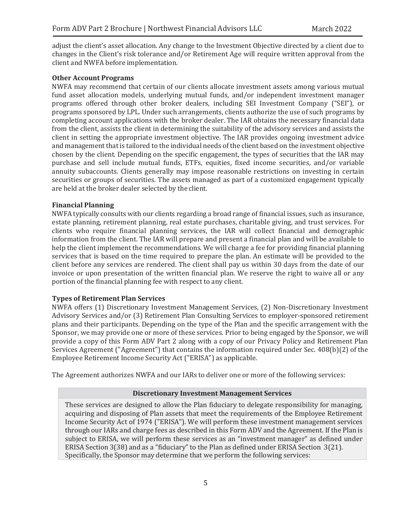adjust the client's asset allocation. Any change to the Investment Objective directed by a client due to changes in the Client's risk tolerance and/or Retirement Age will require written approval from the client and NWFA before implementation.

#### **Other Account Programs**

NWFA may recommend that certain of our clients allocate investment assets among various mutual fund asset allocation models, underlying mutual funds, and/or independent investment manager programs offered through other broker dealers, including SEI Investment Company ("SEI"), or programs sponsored by LPL. Under such arrangements, clients authorize the use of such programs by completing account applications with the broker dealer. The IAR obtains the necessary financial data from the client, assists the client in determining the suitability of the advisory services and assists the client in setting the appropriate investment objective. The IAR provides ongoing investment advice and management that is tailored to the individual needs of the client based on the investment objective chosen by the client. Depending on the specific engagement, the types of securities that the IAR may purchase and sell include mutual funds, ETFs, equities, fixed income securities, and/or variable annuity subaccounts. Clients generally may impose reasonable restrictions on investing in certain securities or groups of securities. The assets managed as part of a customized engagement typically are held at the broker dealer selected by the client.

#### **Financial Planning**

NWFA typically consults with our clients regarding a broad range of financial issues, such as insurance, estate planning, retirement planning, real estate purchases, charitable giving, and trust services. For clients who require financial planning services, the IAR will collect financial and demographic information from the client. The IAR will prepare and present a financial plan and will be available to help the client implement the recommendations. We will charge a fee for providing financial planning services that is based on the time required to prepare the plan. An estimate will be provided to the client before any services are rendered. The client shall pay us within 30 days from the date of our invoice or upon presentation of the written financial plan. We reserve the right to waive all or any portion of the financial planning fee with respect to any client.

## **Types of Retirement Plan Services**

NWFA offers (1) Discretionary Investment Management Services, (2) Non-Discretionary Investment Advisory Services and/or (3) Retirement Plan Consulting Services to employer-sponsored retirement plans and their participants. Depending on the type of the Plan and the specific arrangement with the Sponsor, we may provide one or more of these services. Prior to being engaged by the Sponsor, we will provide a copy of this Form ADV Part 2 along with a copy of our Privacy Policy and Retirement Plan Services Agreement ("Agreement") that contains the information required under Sec. 408(b)(2) of the Employee Retirement Income Security Act ("ERISA") as applicable.

The Agreement authorizes NWFA and our IARs to deliver one or more of the following services:

#### **Discretionary Investment Management Services**

These services are designed to allow the Plan fiduciary to delegate responsibility for managing, acquiring and disposing of Plan assets that meet the requirements of the Employee Retirement Income Security Act of 1974 ("ERISA"). We will perform these investment management services through our IARs and charge fees as described in this Form ADV and the Agreement. If the Plan is subject to ERISA, we will perform these services as an "investment manager" as defined under ERISA Section 3(38) and as a "fiduciary" to the Plan as defined under ERISA Section 3(21). Specifically, the Sponsor may determine that we perform the following services: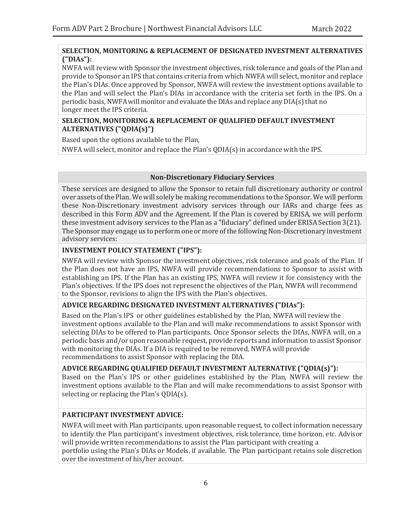## **SELECTION, MONITORING & REPLACEMENT OF DESIGNATED INVESTMENT ALTERNATIVES ("DIAs"):**

NWFA will review with Sponsor the investment objectives, risk tolerance and goals of the Plan and provide to Sponsor an IPS that contains criteria from which NWFA will select, monitor and replace the Plan's DIAs. Once approved by Sponsor, NWFA will review the investment options available to the Plan and will select the Plan's DIAs in accordance with the criteria set forth in the IPS. On a periodic basis, NWFA will monitor and evaluate the DIAs and replace any  $DIA(s)$  that no longer meet the IPS criteria.

## **SELECTION, MONITORING & REPLACEMENT OF QUALIFIED DEFAULT INVESTMENT ALTERNATIVES ("QDIA(s)")**

Based upon the options available to the Plan,

NWFA will select, monitor and replace the Plan's QDIA(s) in accordance with the IPS.

## **Non-Discretionary Fiduciary Services**

These services are designed to allow the Sponsor to retain full discretionary authority or control over assets of the Plan. We will solely be making recommendations to the Sponsor. We will perform these Non-Discretionary investment advisory services through our IARs and charge fees as described in this Form ADV and the Agreement. If the Plan is covered by ERISA, we will perform these investment advisory services to the Plan as a "fiduciary" defined under ERISA Section 3(21). The Sponsor may engage us to perform one or more of the following Non-Discretionary investment advisory services:

# **INVESTMENT POLICY STATEMENT ("IPS"):**

NWFA will review with Sponsor the investment objectives, risk tolerance and goals of the Plan. If the Plan does not have an IPS, NWFA will provide recommendations to Sponsor to assist with establishing an IPS. If the Plan has an existing IPS, NWFA will review it for consistency with the Plan's objectives. If the IPS does not represent the objectives of the Plan, NWFA will recommend to the Sponsor, revisions to align the IPS with the Plan's objectives.

# **ADVICE REGARDING DESIGNATED INVESTMENT ALTERNATIVES ("DIAs"):**

Based on the Plan's IPS or other guidelines established by the Plan, NWFA will review the investment options available to the Plan and will make recommendations to assist Sponsor with selecting DIAs to be offered to Plan participants. Once Sponsor selects the DIAs, NWFA will, on a periodic basis and/or upon reasonable request, provide reports and information to assist Sponsor with monitoring the DIAs. If a DIA is required to be removed, NWFA will provide recommendations to assist Sponsor with replacing the DIA.

## **ADVICE REGARDING QUALIFIED DEFAULT INVESTMENT ALTERNATIVE ("QDIA(s)"):**

Based on the Plan's IPS or other guidelines established by the Plan, NWFA will review the investment options available to the Plan and will make recommendations to assist Sponsor with selecting or replacing the Plan's QDIA(s).

# **PARTICIPANT INVESTMENT ADVICE:**

NWFA will meet with Plan participants, upon reasonable request, to collect information necessary to identify the Plan participant's investment objectives, risk tolerance, time horizon, etc. Advisor will provide written recommendations to assist the Plan participant with creating a portfolio using the Plan's DIAs or Models, if available. The Plan participant retains sole discretion over the investment of his/her account.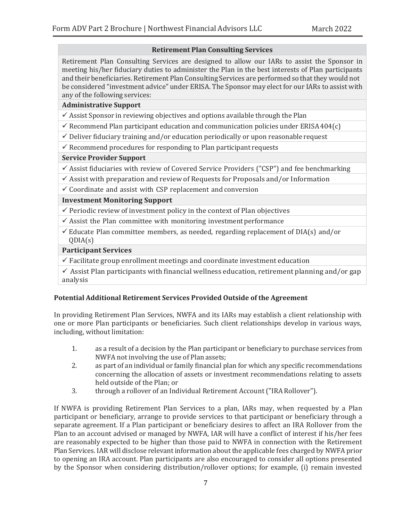# **Retirement Plan Consulting Services**

Retirement Plan Consulting Services are designed to allow our IARs to assist the Sponsor in meeting his/her fiduciary duties to administer the Plan in the best interests of Plan participants and their beneficiaries. Retirement Plan Consulting Services are performed so that they would not be considered "investment advice" under ERISA. The Sponsor may elect for our IARs to assist with any of the following services:

# **Administrative Support**

 $\checkmark$  Assist Sponsor in reviewing objectives and options available through the Plan

 $\checkmark$  Recommend Plan participant education and communication policies under ERISA404(c)

 $\checkmark$  Deliver fiduciary training and/or education periodically or upon reasonable request

 $\checkmark$  Recommend procedures for responding to Plan participant requests

## **Service Provider Support**

 $\checkmark$  Assist fiduciaries with review of Covered Service Providers ("CSP") and fee benchmarking

 $\checkmark$  Assist with preparation and review of Requests for Proposals and/or Information

 $\checkmark$  Coordinate and assist with CSP replacement and conversion

## **Investment Monitoring Support**

 $\checkmark$  Periodic review of investment policy in the context of Plan objectives

 $\checkmark$  Assist the Plan committee with monitoring investment performance

 $\checkmark$  Educate Plan committee members, as needed, regarding replacement of DIA(s) and/or QDIA(s)

# **Participant Services**

 $\checkmark$  Facilitate group enrollment meetings and coordinate investment education

 $\checkmark$  Assist Plan participants with financial wellness education, retirement planning and/or gap analysis

# **Potential Additional Retirement Services Provided Outside of the Agreement**

In providing Retirement Plan Services, NWFA and its IARs may establish a client relationship with one or more Plan participants or beneficiaries. Such client relationships develop in various ways, including, without limitation:

- 1. as a result of a decision by the Plan participant or beneficiary to purchase services from NWFA not involving the use of Plan assets;
- 2. as part of an individual or family financial plan for which any specific recommendations concerning the allocation of assets or investment recommendations relating to assets held outside of the Plan; or
- 3. through a rollover of an Individual Retirement Account ("IRA Rollover").

If NWFA is providing Retirement Plan Services to a plan, IARs may, when requested by a Plan participant or beneficiary, arrange to provide services to that participant or beneficiary through a separate agreement. If a Plan participant or beneficiary desires to affect an IRA Rollover from the Plan to an account advised or managed by NWFA, IAR will have a conflict of interest if his/her fees are reasonably expected to be higher than those paid to NWFA in connection with the Retirement Plan Services. IAR will disclose relevant information about the applicable fees charged by NWFA prior to opening an IRA account. Plan participants are also encouraged to consider all options presented by the Sponsor when considering distribution/rollover options; for example, (i) remain invested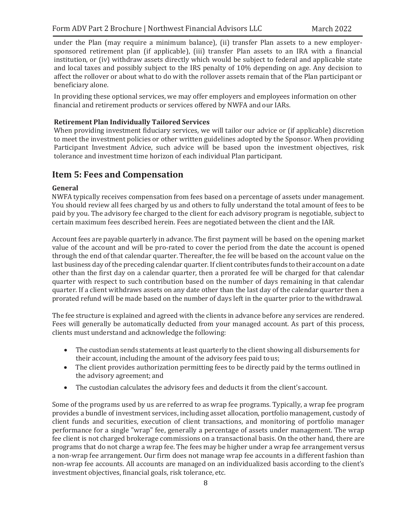under the Plan (may require a minimum balance), (ii) transfer Plan assets to a new employersponsored retirement plan (if applicable), (iii) transfer Plan assets to an IRA with a financial institution, or (iv) withdraw assets directly which would be subject to federal and applicable state and local taxes and possibly subject to the IRS penalty of 10% depending on age. Any decision to affect the rollover or about what to do with the rollover assets remain that of the Plan participant or beneficiary alone.

In providing these optional services, we may offer employers and employees information on other financial and retirement products or services offered by NWFA and our IARs.

## **Retirement Plan Individually Tailored Services**

When providing investment fiduciary services, we will tailor our advice or (if applicable) discretion to meet the investment policies or other written guidelines adopted by the Sponsor. When providing Participant Investment Advice, such advice will be based upon the investment objectives, risk tolerance and investment time horizon of each individual Plan participant.

# <span id="page-7-0"></span>**Item 5: Fees and Compensation**

#### **General**

NWFA typically receives compensation from fees based on a percentage of assets under management. You should review all fees charged by us and others to fully understand the total amount of fees to be paid by you. The advisory fee charged to the client for each advisory program is negotiable, subject to certain maximum fees described herein. Fees are negotiated between the client and the IAR.

Account fees are payable quarterly in advance. The first payment will be based on the opening market value of the account and will be pro-rated to cover the period from the date the account is opened through the end of that calendar quarter. Thereafter, the fee will be based on the account value on the last business day of the preceding calendar quarter. If client contributes funds to their account ona date other than the first day on a calendar quarter, then a prorated fee will be charged for that calendar quarter with respect to such contribution based on the number of days remaining in that calendar quarter. If a client withdraws assets on any date other than the last day of the calendar quarter then a prorated refund will be made based on the number of days left in the quarter prior to thewithdrawal.

The fee structure is explained and agreed with the clients in advance before any services are rendered. Fees will generally be automatically deducted from your managed account. As part of this process, clients must understand and acknowledge the following:

- The custodian sends statements at least quarterly to the client showing all disbursements for their account, including the amount of the advisory fees paid tous;
- The client provides authorization permitting fees to be directly paid by the terms outlined in the advisory agreement; and
- The custodian calculates the advisory fees and deducts it from the client's account.

Some of the programs used by us are referred to as wrap fee programs. Typically, a wrap fee program provides a bundle of investment services, including asset allocation, portfolio management, custody of client funds and securities, execution of client transactions, and monitoring of portfolio manager performance for a single "wrap" fee, generally a percentage of assets under management. The wrap fee client is not charged brokerage commissions on a transactional basis. On the other hand, there are programs that do not charge a wrap fee. The fees may be higher under a wrap fee arrangement versus a non-wrap fee arrangement. Our firm does not manage wrap fee accounts in a different fashion than non-wrap fee accounts. All accounts are managed on an individualized basis according to the client's investment objectives, financial goals, risk tolerance, etc.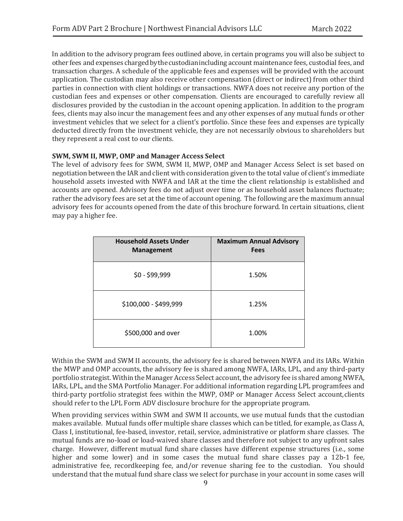In addition to the advisory program fees outlined above, in certain programs you will also be subject to other fees and expenses chargedbythecustodianincluding account maintenance fees, custodial fees, and transaction charges. A schedule of the applicable fees and expenses will be provided with the account application. The custodian may also receive other compensation (direct or indirect) from other third parties in connection with client holdings or transactions. NWFA does not receive any portion of the custodian fees and expenses or other compensation. Clients are encouraged to carefully review all disclosures provided by the custodian in the account opening application. In addition to the program fees, clients may also incur the management fees and any other expenses of any mutual funds or other investment vehicles that we select for a client's portfolio. Since these fees and expenses are typically deducted directly from the investment vehicle, they are not necessarily obvious to shareholders but they represent a real cost to our clients.

#### **SWM, SWM II, MWP, OMP and Manager Access Select**

The level of advisory fees for SWM, SWM II, MWP, OMP and Manager Access Select is set based on negotiation between the IAR and client with consideration given to the total value of client's immediate household assets invested with NWFA and IAR at the time the client relationship is established and accounts are opened. Advisory fees do not adjust over time or as household asset balances fluctuate; rather the advisory fees are set at the time of account opening. The following are the maximum annual advisory fees for accounts opened from the date of this brochure forward. In certain situations, client may pay a higher fee.

| <b>Household Assets Under</b><br><b>Management</b> | <b>Maximum Annual Advisory</b><br><b>Fees</b> |
|----------------------------------------------------|-----------------------------------------------|
| $$0 - $99,999$                                     | 1.50%                                         |
| \$100,000 - \$499,999                              | 1.25%                                         |
| \$500,000 and over                                 | 1.00%                                         |

Within the SWM and SWM II accounts, the advisory fee is shared between NWFA and its IARs. Within the MWP and OMP accounts, the advisory fee is shared among NWFA, IARs, LPL, and any third-party portfolio strategist. Within the Manager Access Select account, the advisory fee is shared among NWFA, IARs, LPL, and the SMA Portfolio Manager. For additional information regarding LPL programfees and third-party portfolio strategist fees within the MWP, OMP or Manager Access Select account,clients should refer to the LPL Form ADV disclosure brochure for the appropriate program.

When providing services within SWM and SWM II accounts, we use mutual funds that the custodian makes available. Mutual funds offer multiple share classes which can be titled, for example, as Class A, Class I, institutional, fee-based, investor, retail, service, administrative or platform share classes. The mutual funds are no-load or load-waived share classes and therefore not subject to any upfront sales charge. However, different mutual fund share classes have different expense structures (i.e., some higher and some lower) and in some cases the mutual fund share classes pay a 12b-1 fee, administrative fee, recordkeeping fee, and/or revenue sharing fee to the custodian. You should understand that the mutual fund share class we select for purchase in your account in some cases will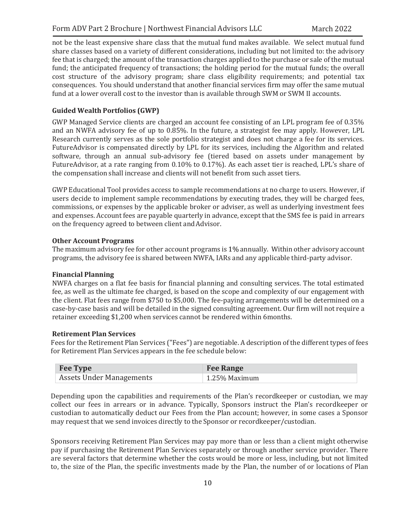not be the least expensive share class that the mutual fund makes available. We select mutual fund share classes based on a variety of different considerations, including but not limited to: the advisory fee that is charged; the amount of the transaction charges applied to the purchase or sale of the mutual fund; the anticipated frequency of transactions; the holding period for the mutual funds; the overall cost structure of the advisory program; share class eligibility requirements; and potential tax consequences. You should understand that another financial services firm may offer the same mutual fund at a lower overall cost to the investor than is available through SWM or SWM II accounts.

# **Guided Wealth Portfolios (GWP)**

GWP Managed Service clients are charged an account fee consisting of an LPL program fee of 0.35% and an NWFA advisory fee of up to 0.85%. In the future, a strategist fee may apply. However, LPL Research currently serves as the sole portfolio strategist and does not charge a fee for its services. FutureAdvisor is compensated directly by LPL for its services, including the Algorithm and related software, through an annual sub-advisory fee (tiered based on assets under management by FutureAdvisor, at a rate ranging from 0.10% to 0.17%). As each asset tier is reached, LPL's share of the compensation shall increase and clients will not benefit from such asset tiers.

GWP Educational Tool provides access to sample recommendations at no charge to users. However, if users decide to implement sample recommendations by executing trades, they will be charged fees, commissions, or expenses by the applicable broker or adviser, as well as underlying investment fees and expenses. Account fees are payable quarterly in advance, except that the SMS fee is paid in arrears on the frequency agreed to between client andAdvisor.

## **Other Account Programs**

The maximum advisory fee for other account programs is 1% annually. Within other advisory account programs, the advisory fee is shared between NWFA, IARs and any applicable third-party advisor.

# **Financial Planning**

NWFA charges on a flat fee basis for financial planning and consulting services. The total estimated fee, as well as the ultimate fee charged, is based on the scope and complexity of our engagement with the client. Flat fees range from \$750 to \$5,000. The fee-paying arrangements will be determined on a case-by-case basis and will be detailed in the signed consulting agreement. Our firm will not require a retainer exceeding \$1,200 when services cannot be rendered within 6months.

# **Retirement Plan Services**

Fees for the Retirement Plan Services ("Fees") are negotiable. A description of the different types of fees for Retirement Plan Services appears in the fee schedule below:

| <b>Fee Type</b>          | <b>Fee Range</b>     |
|--------------------------|----------------------|
| Assets Under Managements | $\pm 1.25\%$ Maximum |

Depending upon the capabilities and requirements of the Plan's recordkeeper or custodian, we may collect our fees in arrears or in advance. Typically, Sponsors instruct the Plan's recordkeeper or custodian to automatically deduct our Fees from the Plan account; however, in some cases a Sponsor may request that we send invoices directly to the Sponsor or recordkeeper/custodian.

Sponsors receiving Retirement Plan Services may pay more than or less than a client might otherwise pay if purchasing the Retirement Plan Services separately or through another service provider. There are several factors that determine whether the costs would be more or less, including, but not limited to, the size of the Plan, the specific investments made by the Plan, the number of or locations of Plan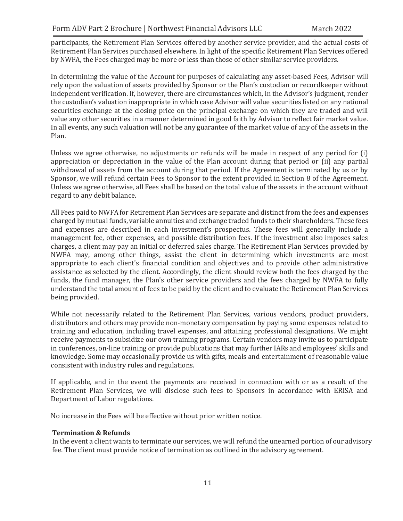participants, the Retirement Plan Services offered by another service provider, and the actual costs of Retirement Plan Services purchased elsewhere. In light of the specific Retirement Plan Services offered by NWFA, the Fees charged may be more or less than those of other similar service providers.

In determining the value of the Account for purposes of calculating any asset-based Fees, Advisor will rely upon the valuation of assets provided by Sponsor or the Plan's custodian or recordkeeper without independent verification. If, however, there are circumstances which, in the Advisor's judgment, render the custodian's valuation inappropriate in which case Advisor will value securities listed on any national securities exchange at the closing price on the principal exchange on which they are traded and will value any other securities in a manner determined in good faith by Advisor to reflect fair market value. In all events, any such valuation will not be any guarantee of the market value of any of the assets in the Plan.

Unless we agree otherwise, no adjustments or refunds will be made in respect of any period for (i) appreciation or depreciation in the value of the Plan account during that period or (ii) any partial withdrawal of assets from the account during that period. If the Agreement is terminated by us or by Sponsor, we will refund certain Fees to Sponsor to the extent provided in Section 8 of the Agreement. Unless we agree otherwise, all Fees shall be based on the total value of the assets in the account without regard to any debit balance.

All Fees paid to NWFA for Retirement Plan Services are separate and distinct from the fees and expenses charged by mutual funds, variable annuities and exchange traded funds to their shareholders. These fees and expenses are described in each investment's prospectus. These fees will generally include a management fee, other expenses, and possible distribution fees. If the investment also imposes sales charges, a client may pay an initial or deferred sales charge. The Retirement Plan Services provided by NWFA may, among other things, assist the client in determining which investments are most appropriate to each client's financial condition and objectives and to provide other administrative assistance as selected by the client. Accordingly, the client should review both the fees charged by the funds, the fund manager, the Plan's other service providers and the fees charged by NWFA to fully understand the total amount of fees to be paid by the client and to evaluate the Retirement Plan Services being provided.

While not necessarily related to the Retirement Plan Services, various vendors, product providers, distributors and others may provide non-monetary compensation by paying some expenses related to training and education, including travel expenses, and attaining professional designations. We might receive payments to subsidize our own training programs. Certain vendors may invite us to participate in conferences, on-line training or provide publications that may further IARs and employees' skills and knowledge. Some may occasionally provide us with gifts, meals and entertainment of reasonable value consistent with industry rules and regulations.

If applicable, and in the event the payments are received in connection with or as a result of the Retirement Plan Services, we will disclose such fees to Sponsors in accordance with ERISA and Department of Labor regulations.

No increase in the Fees will be effective without prior written notice.

#### **Termination & Refunds**

In the event a client wants to terminate our services, we will refund the unearned portion of our advisory fee. The client must provide notice of termination as outlined in the advisory agreement.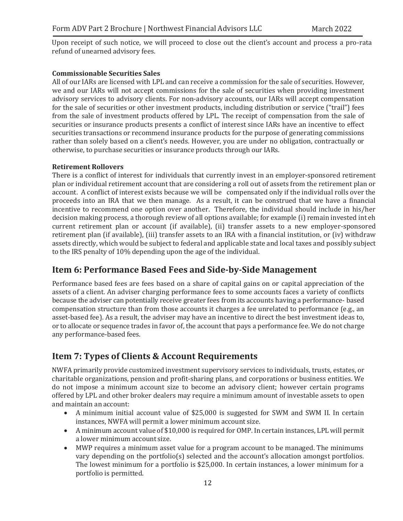Upon receipt of such notice, we will proceed to close out the client's account and process a pro-rata refund of unearned advisory fees.

## **Commissionable Securities Sales**

All of our IARs are licensed with LPL and can receive a commission for the sale of securities. However, we and our IARs will not accept commissions for the sale of securities when providing investment advisory services to advisory clients. For non-advisory accounts, our IARs will accept compensation for the sale of securities or other investment products, including distribution or service ("trail") fees from the sale of investment products offered by LPL. The receipt of compensation from the sale of securities or insurance products presents a conflict of interest since IARs have an incentive to effect securities transactions or recommend insurance products for the purpose of generating commissions rather than solely based on a client's needs. However, you are under no obligation, contractually or otherwise, to purchase securities or insurance products through our IARs.

#### **Retirement Rollovers**

There is a conflict of interest for individuals that currently invest in an employer-sponsored retirement plan or individual retirement account that are considering a roll out of assets from the retirement plan or account. A conflict of interest exists because we will be compensated only if the individual rolls over the proceeds into an IRA that we then manage. As a result, it can be construed that we have a financial incentive to recommend one option over another. Therefore, the individual should include in his/her decision making process, a thorough review of all options available; for example (i) remain invested int eh current retirement plan or account (if available), (ii) transfer assets to a new employer-sponsored retirement plan (if available), (iii) transfer assets to an IRA with a financial institution, or (iv) withdraw assets directly, which would be subject to federal and applicable state and local taxes and possibly subject to the IRS penalty of 10% depending upon the age of the individual.

# <span id="page-11-0"></span>**Item 6: Performance Based Fees and Side-by-Side Management**

Performance based fees are fees based on a share of capital gains on or capital appreciation of the assets of a client. An adviser charging performance fees to some accounts faces a variety of conflicts because the adviser can potentially receive greater fees from its accounts having a performance- based compensation structure than from those accounts it charges a fee unrelated to performance (e.g., an asset-based fee). As a result, the adviser may have an incentive to direct the best investment ideas to, or to allocate or sequence trades in favor of, the account that pays a performance fee. We do not charge any performance-based fees.

# <span id="page-11-1"></span>**Item 7: Types of Clients & Account Requirements**

NWFA primarily provide customized investment supervisory services to individuals, trusts, estates, or charitable organizations, pension and profit-sharing plans, and corporations or business entities. We do not impose a minimum account size to become an advisory client; however certain programs offered by LPL and other broker dealers may require a minimum amount of investable assets to open and maintain an account:

- A minimum initial account value of \$25,000 is suggested for SWM and SWM II. In certain instances, NWFA will permit a lower minimum account size.
- A minimum account value of \$10,000 is required for OMP. In certain instances, LPL will permit a lower minimum account size.
- MWP requires a minimum asset value for a program account to be managed. The minimums vary depending on the portfolio(s) selected and the account's allocation amongst portfolios. The lowest minimum for a portfolio is \$25,000. In certain instances, a lower minimum for a portfolio is permitted.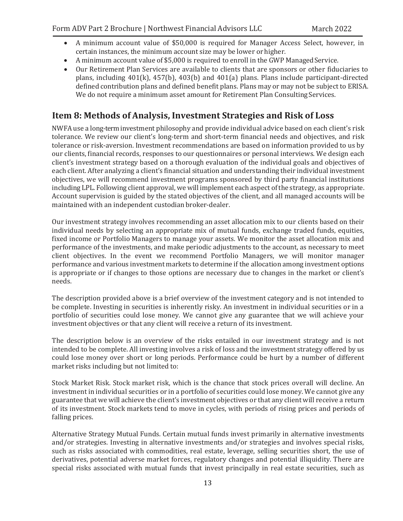- A minimum account value of \$50,000 is required for Manager Access Select, however, in certain instances, the minimum account size may be lower orhigher.
- A minimum account value of \$5,000 is required to enroll in the GWP Managed Service.
- Our Retirement Plan Services are available to clients that are sponsors or other fiduciaries to plans, including 401(k), 457(b), 403(b) and 401(a) plans. Plans include participant-directed defined contribution plans and defined benefit plans. Plans may or may not be subject to ERISA. We do not require a minimum asset amount for Retirement Plan Consulting Services.

# <span id="page-12-0"></span>**Item 8: Methods of Analysis, Investment Strategies and Risk of Loss**

NWFA use a long-terminvestment philosophy and provide individual advice based on each client's risk tolerance. We review our client's long-term and short-term financial needs and objectives, and risk tolerance or risk-aversion. Investment recommendations are based on information provided to us by our clients, financial records, responses to our questionnaires or personal interviews. We design each client's investment strategy based on a thorough evaluation of the individual goals and objectives of each client. After analyzing a client's financial situation and understanding their individual investment objectives, we will recommend investment programs sponsored by third party financial institutions including LPL. Following client approval, we will implement each aspect of the strategy, as appropriate. Account supervision is guided by the stated objectives of the client, and all managed accounts will be maintained with an independent custodian broker-dealer.

Our investment strategy involves recommending an asset allocation mix to our clients based on their individual needs by selecting an appropriate mix of mutual funds, exchange traded funds, equities, fixed income or Portfolio Managers to manage your assets. We monitor the asset allocation mix and performance of the investments, and make periodic adjustments to the account, as necessary to meet client objectives. In the event we recommend Portfolio Managers, we will monitor manager performance and various investment markets to determine if the allocation among investment options is appropriate or if changes to those options are necessary due to changes in the market or client's needs.

The description provided above is a brief overview of the investment category and is not intended to be complete. Investing in securities is inherently risky. An investment in individual securities or in a portfolio of securities could lose money. We cannot give any guarantee that we will achieve your investment objectives or that any client will receive a return of its investment.

The description below is an overview of the risks entailed in our investment strategy and is not intended to be complete. All investing involves a risk of loss and the investment strategy offered by us could lose money over short or long periods. Performance could be hurt by a number of different market risks including but not limited to:

Stock Market Risk. Stock market risk, which is the chance that stock prices overall will decline. An investment in individual securities or in a portfolio of securities could lose money. We cannot give any guarantee that we will achieve the client's investment objectives or that any client will receive a return of its investment. Stock markets tend to move in cycles, with periods of rising prices and periods of falling prices.

Alternative Strategy Mutual Funds. Certain mutual funds invest primarily in alternative investments and/or strategies. Investing in alternative investments and/or strategies and involves special risks, such as risks associated with commodities, real estate, leverage, selling securities short, the use of derivatives, potential adverse market forces, regulatory changes and potential illiquidity. There are special risks associated with mutual funds that invest principally in real estate securities, such as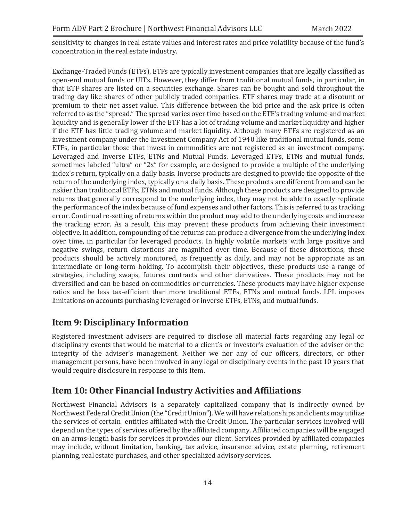sensitivity to changes in real estate values and interest rates and price volatility because of the fund's concentration in the real estate industry.

Exchange-Traded Funds (ETFs). ETFs are typically investment companies that are legally classified as open-end mutual funds or UITs. However, they differ from traditional mutual funds, in particular, in that ETF shares are listed on a securities exchange. Shares can be bought and sold throughout the trading day like shares of other publicly traded companies. ETF shares may trade at a discount or premium to their net asset value. This difference between the bid price and the ask price is often referred to as the "spread." The spread varies over time based on the ETF's trading volume and market liquidity and is generally lower if the ETF has a lot of trading volume and market liquidity and higher if the ETF has little trading volume and market liquidity. Although many ETFs are registered as an investment company under the Investment Company Act of 1940 like traditional mutual funds, some ETFs, in particular those that invest in commodities are not registered as an investment company. Leveraged and Inverse ETFs, ETNs and Mutual Funds. Leveraged ETFs, ETNs and mutual funds, sometimes labeled "ultra" or "2x" for example, are designed to provide a multiple of the underlying index's return, typically on a daily basis. Inverse products are designed to provide the opposite of the return of the underlying index, typically on a daily basis. These products are different from and can be riskier than traditional ETFs, ETNs and mutual funds. Although these products are designed to provide returns that generally correspond to the underlying index, they may not be able to exactly replicate the performance of the index because of fund expenses and other factors. This is referred to as tracking error. Continual re-setting of returns within the product may add to the underlying costs and increase the tracking error. As a result, this may prevent these products from achieving their investment objective. In addition, compounding of the returns can produce a divergence from the underlying index over time, in particular for leveraged products. In highly volatile markets with large positive and negative swings, return distortions are magnified over time. Because of these distortions, these products should be actively monitored, as frequently as daily, and may not be appropriate as an intermediate or long-term holding. To accomplish their objectives, these products use a range of strategies, including swaps, futures contracts and other derivatives. These products may not be diversified and can be based on commodities or currencies. These products may have higher expense ratios and be less tax-efficient than more traditional ETFs, ETNs and mutual funds. LPL imposes limitations on accounts purchasing leveraged or inverse ETFs, ETNs, and mutualfunds.

# <span id="page-13-0"></span>**Item 9: Disciplinary Information**

Registered investment advisers are required to disclose all material facts regarding any legal or disciplinary events that would be material to a client's or investor's evaluation of the adviser or the integrity of the adviser's management. Neither we nor any of our officers, directors, or other management persons, have been involved in any legal or disciplinary events in the past 10 years that would require disclosure in response to this Item.

# <span id="page-13-1"></span>**Item 10: Other Financial Industry Activities and Affiliations**

Northwest Financial Advisors is a separately capitalized company that is indirectly owned by Northwest Federal Credit Union (the "Credit Union"). We will have relationships and clients may utilize the services of certain entities affiliated with the Credit Union. The particular services involved will depend on the types of services offered by the affiliated company. Affiliated companies will be engaged on an arms-length basis for services it provides our client. Services provided by affiliated companies may include, without limitation, banking, tax advice, insurance advice, estate planning, retirement planning, real estate purchases, and other specialized advisoryservices.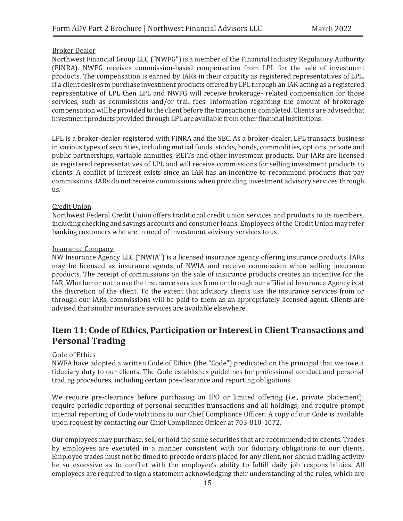## Broker Dealer

Northwest Financial Group LLC ("NWFG") is a member of the Financial Industry Regulatory Authority (FINRA). NWFG receives commission-based compensation from LPL for the sale of investment products. The compensation is earned by IARs in their capacity as registered representatives of LPL. If a client desires to purchase investment products offered by LPL through an IAR acting as a registered representative of LPL then LPL and NWFG will receive brokerage- related compensation for those services, such as commissions and/or trail fees. Information regarding the amount of brokerage compensationwill be provided to the client before the transaction is completed. Clients are advisedthat investment products provided through LPL are available from other financial institutions.

LPL is a broker-dealer registered with FINRA and the SEC. As a broker-dealer, LPL transacts business in various types of securities, including mutual funds, stocks, bonds, commodities, options, private and public partnerships, variable annuities, REITs and other investment products. Our IARs are licensed as registered representatives of LPL and will receive commissions for selling investment products to clients. A conflict of interest exists since an IAR has an incentive to recommend products that pay commissions. IARs do not receive commissions when providing investment advisory services through us.

#### Credit Union

Northwest Federal Credit Union offers traditional credit union services and products to its members, including checking and savings accounts and consumer loans. Employees of the Credit Union may refer banking customers who are in need of investment advisory services to us.

#### Insurance Company

NW Insurance Agency LLC ("NWIA") is a licensed insurance agency offering insurance products. IARs may be licensed as insurance agents of NWIA and receive commission when selling insurance products. The receipt of commissions on the sale of insurance products creates an incentive for the IAR. Whether or not to use the insurance services from or through our affiliated Insurance Agency is at the discretion of the client. To the extent that advisory clients use the insurance services from or through our IARs, commissions will be paid to them as an appropriately licensed agent. Clients are advised that similar insurance services are available elsewhere.

# <span id="page-14-0"></span>**Item 11: Code of Ethics, Participation or Interest in Client Transactions and Personal Trading**

## Code of Ethics

NWFA have adopted a written Code of Ethics (the "Code") predicated on the principal that we owe a fiduciary duty to our clients. The Code establishes guidelines for professional conduct and personal trading procedures, including certain pre-clearance and reporting obligations.

We require pre-clearance before purchasing an IPO or limited offering (i.e., private placement); require periodic reporting of personal securities transactions and all holdings; and require prompt internal reporting of Code violations to our Chief Compliance Officer. A copy of our Code is available upon request by contacting our Chief Compliance Officer at 703-810-1072.

Our employees may purchase, sell, or hold the same securities that are recommended to clients. Trades by employees are executed in a manner consistent with our fiduciary obligations to our clients. Employee trades must not be timed to precede orders placed for any client, nor should trading activity be so excessive as to conflict with the employee's ability to fulfill daily job responsibilities. All employees are required to sign a statement acknowledging their understanding of the rules, which are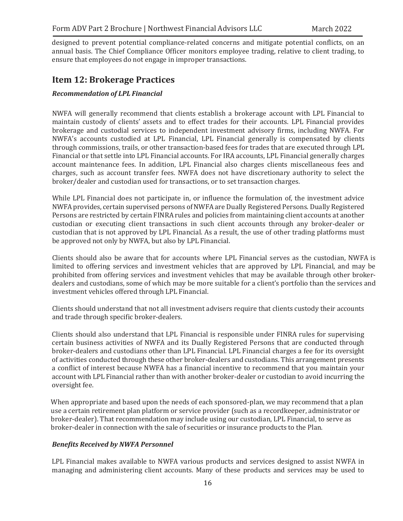designed to prevent potential compliance-related concerns and mitigate potential conflicts, on an annual basis. The Chief Compliance Officer monitors employee trading, relative to client trading, to ensure that employees do not engage in improper transactions.

# <span id="page-15-0"></span>**Item 12: Brokerage Practices**

## *Recommendation of LPL Financial*

NWFA will generally recommend that clients establish a brokerage account with LPL Financial to maintain custody of clients' assets and to effect trades for their accounts. LPL Financial provides brokerage and custodial services to independent investment advisory firms, including NWFA. For NWFA's accounts custodied at LPL Financial, LPL Financial generally is compensated by clients through commissions, trails, or other transaction-based fees for trades that are executed through LPL Financial or that settle into LPL Financial accounts. For IRA accounts, LPL Financial generally charges account maintenance fees. In addition, LPL Financial also charges clients miscellaneous fees and charges, such as account transfer fees. NWFA does not have discretionary authority to select the broker/dealer and custodian used for transactions, or to set transaction charges.

While LPL Financial does not participate in, or influence the formulation of, the investment advice NWFA provides, certain supervised persons ofNWFA are Dually Registered Persons. Dually Registered Persons are restricted by certain FINRA rules and policies from maintaining client accounts at another custodian or executing client transactions in such client accounts through any broker-dealer or custodian that is not approved by LPL Financial. As a result, the use of other trading platforms must be approved not only by NWFA, but also by LPL Financial.

Clients should also be aware that for accounts where LPL Financial serves as the custodian, NWFA is limited to offering services and investment vehicles that are approved by LPL Financial, and may be prohibited from offering services and investment vehicles that may be available through other brokerdealers and custodians, some of which may be more suitable for a client's portfolio than the services and investment vehicles offered through LPL Financial.

Clients should understand that not all investment advisers require that clients custody their accounts and trade through specific broker-dealers.

Clients should also understand that LPL Financial is responsible under FINRA rules for supervising certain business activities of NWFA and its Dually Registered Persons that are conducted through broker-dealers and custodians other than LPL Financial. LPL Financial charges a fee for its oversight of activities conducted through these other broker-dealers and custodians. This arrangement presents a conflict of interest because NWFA has a financial incentive to recommend that you maintain your account with LPL Financial rather than with another broker-dealer or custodian to avoid incurring the oversight fee.

When appropriate and based upon the needs of each sponsored-plan, we may recommend that a plan use a certain retirement plan platform or service provider (such as a recordkeeper, administrator or broker-dealer). That recommendation may include using our custodian, LPL Financial, to serve as broker-dealer in connection with the sale of securities or insurance products to the Plan.

## *Benefits Received by NWFA Personnel*

LPL Financial makes available to NWFA various products and services designed to assist NWFA in managing and administering client accounts. Many of these products and services may be used to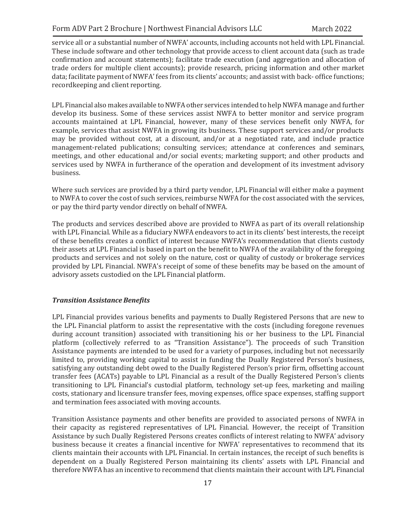service all or a substantial number of NWFA' accounts, including accounts not held with LPL Financial. These include software and other technology that provide access to client account data (such as trade confirmation and account statements); facilitate trade execution (and aggregation and allocation of trade orders for multiple client accounts); provide research, pricing information and other market data; facilitate payment of NWFA' fees from its clients' accounts; and assist with back- office functions; recordkeeping and client reporting.

LPL Financial also makes available to NWFA other services intended to help NWFA manage and further develop its business. Some of these services assist NWFA to better monitor and service program accounts maintained at LPL Financial, however, many of these services benefit only NWFA, for example, services that assist NWFA in growing its business. These support services and/or products may be provided without cost, at a discount, and/or at a negotiated rate, and include practice management-related publications; consulting services; attendance at conferences and seminars, meetings, and other educational and/or social events; marketing support; and other products and services used by NWFA in furtherance of the operation and development of its investment advisory business.

Where such services are provided by a third party vendor, LPL Financial will either make a payment to NWFA to cover the cost of such services, reimburse NWFA for the cost associated with the services, or pay the third party vendor directly on behalf ofNWFA.

The products and services described above are provided to NWFA as part of its overall relationship with LPL Financial. While as a fiduciary NWFA endeavors to act in its clients' best interests, the receipt of these benefits creates a conflict of interest because NWFA's recommendation that clients custody their assets at LPL Financial is based in part on the benefit to NWFA of the availability of the foregoing products and services and not solely on the nature, cost or quality of custody or brokerage services provided by LPL Financial. NWFA's receipt of some of these benefits may be based on the amount of advisory assets custodied on the LPL Financial platform.

## *Transition Assistance Benefits*

LPL Financial provides various benefits and payments to Dually Registered Persons that are new to the LPL Financial platform to assist the representative with the costs (including foregone revenues during account transition) associated with transitioning his or her business to the LPL Financial platform (collectively referred to as "Transition Assistance"). The proceeds of such Transition Assistance payments are intended to be used for a variety of purposes, including but not necessarily limited to, providing working capital to assist in funding the Dually Registered Person's business, satisfying any outstanding debt owed to the Dually Registered Person's prior firm, offsetting account transfer fees (ACATs) payable to LPL Financial as a result of the Dually Registered Person's clients transitioning to LPL Financial's custodial platform, technology set-up fees, marketing and mailing costs, stationary and licensure transfer fees, moving expenses, office space expenses, staffing support and termination fees associated with moving accounts.

Transition Assistance payments and other benefits are provided to associated persons of NWFA in their capacity as registered representatives of LPL Financial. However, the receipt of Transition Assistance by such Dually Registered Persons creates conflicts of interest relating to NWFA' advisory business because it creates a financial incentive for NWFA' representatives to recommend that its clients maintain their accounts with LPL Financial. In certain instances, the receipt of such benefits is dependent on a Dually Registered Person maintaining its clients' assets with LPL Financial and therefore NWFA has an incentive to recommend that clients maintain their account with LPL Financial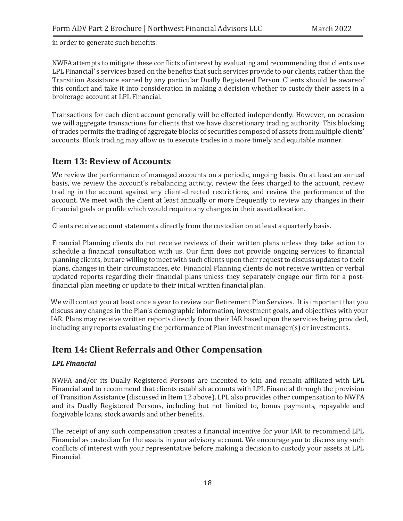in order to generate such benefits.

NWFA attempts to mitigate these conflicts of interest by evaluating and recommending that clients use LPL Financial' s services based on the benefits that such services provide to our clients, rather than the Transition Assistance earned by any particular Dually Registered Person. Clients should be awareof this conflict and take it into consideration in making a decision whether to custody their assets in a brokerage account at LPL Financial.

Transactions for each client account generally will be effected independently. However, on occasion we will aggregate transactions for clients that we have discretionary trading authority. This blocking of trades permits the trading of aggregate blocks of securities composed of assets from multiple clients' accounts. Block trading may allow us to execute trades in a more timely and equitable manner.

# <span id="page-17-0"></span>**Item 13: Review of Accounts**

We review the performance of managed accounts on a periodic, ongoing basis. On at least an annual basis, we review the account's rebalancing activity, review the fees charged to the account, review trading in the account against any client-directed restrictions, and review the performance of the account. We meet with the client at least annually or more frequently to review any changes in their financial goals or profile which would require any changes in their asset allocation.

Clients receive account statements directly from the custodian on at least a quarterly basis.

Financial Planning clients do not receive reviews of their written plans unless they take action to schedule a financial consultation with us. Our firm does not provide ongoing services to financial planning clients, but are willing to meet with such clients upon their request to discuss updates to their plans, changes in their circumstances, etc. Financial Planning clients do not receive written or verbal updated reports regarding their financial plans unless they separately engage our firm for a postfinancial plan meeting or update to their initial written financial plan.

We will contact you at least once a year to review our Retirement Plan Services. It is important that you discuss any changes in the Plan's demographic information, investment goals, and objectives with your IAR. Plans may receive written reports directly from their IAR based upon the services being provided, including any reports evaluating the performance of Plan investment manager(s) or investments.

# <span id="page-17-1"></span>**Item 14: Client Referrals and Other Compensation**

# *LPL Financial*

NWFA and/or its Dually Registered Persons are incented to join and remain affiliated with LPL Financial and to recommend that clients establish accounts with LPL Financial through the provision of Transition Assistance (discussed in Item 12 above). LPL also provides other compensation to NWFA and its Dually Registered Persons, including but not limited to, bonus payments, repayable and forgivable loans, stock awards and other benefits.

The receipt of any such compensation creates a financial incentive for your IAR to recommend LPL Financial as custodian for the assets in your advisory account. We encourage you to discuss any such conflicts of interest with your representative before making a decision to custody your assets at LPL Financial.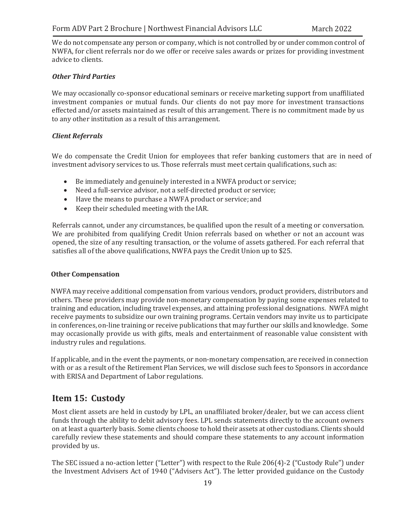We do not compensate any person or company, which is not controlled by or under common control of NWFA, for client referrals nor do we offer or receive sales awards or prizes for providing investment advice to clients.

## *Other Third Parties*

We may occasionally co-sponsor educational seminars or receive marketing support from unaffiliated investment companies or mutual funds. Our clients do not pay more for investment transactions effected and/or assets maintained as result of this arrangement. There is no commitment made by us to any other institution as a result of this arrangement.

#### *Client Referrals*

We do compensate the Credit Union for employees that refer banking customers that are in need of investment advisory services to us. Those referrals must meet certain qualifications, such as:

- Be immediately and genuinely interested in a NWFA product or service;
- Need a full-service advisor, not a self-directed product or service;
- Have the means to purchase a NWFA product or service; and
- Keep their scheduled meeting with the IAR.

Referrals cannot, under any circumstances, be qualified upon the result of a meeting or conversation. We are prohibited from qualifying Credit Union referrals based on whether or not an account was opened, the size of any resulting transaction, or the volume of assets gathered. For each referral that satisfies all of the above qualifications, NWFA pays the Credit Union up to \$25.

#### **Other Compensation**

NWFA may receive additional compensation from various vendors, product providers, distributors and others. These providers may provide non-monetary compensation by paying some expenses related to training and education, including travel expenses, and attaining professional designations. NWFA might receive payments to subsidize our own training programs. Certain vendors may invite us to participate in conferences, on-line training or receive publications that may further our skills and knowledge. Some may occasionally provide us with gifts, meals and entertainment of reasonable value consistent with industry rules and regulations.

If applicable, and in the event the payments, or non-monetary compensation, are received in connection with or as a result of the Retirement Plan Services, we will disclose such fees to Sponsors in accordance with ERISA and Department of Labor regulations.

# <span id="page-18-0"></span>**Item 15: Custody**

Most client assets are held in custody by LPL, an unaffiliated broker/dealer, but we can access client funds through the ability to debit advisory fees. LPL sends statements directly to the account owners on at least a quarterly basis. Some clients choose to hold their assets at other custodians. Clients should carefully review these statements and should compare these statements to any account information provided by us.

The SEC issued a no-action letter ("Letter") with respect to the Rule 206(4)-2 ("Custody Rule") under the Investment Advisers Act of 1940 ("Advisers Act"). The letter provided guidance on the Custody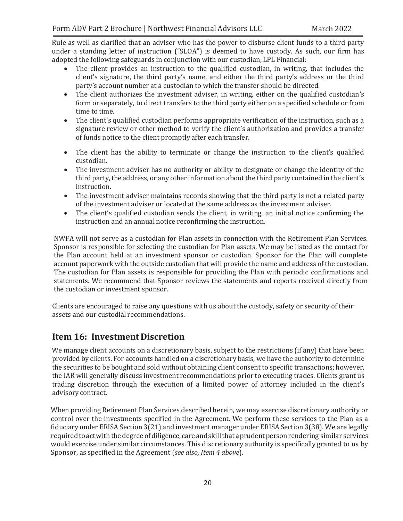Rule as well as clarified that an adviser who has the power to disburse client funds to a third party under a standing letter of instruction ("SLOA") is deemed to have custody. As such, our firm has adopted the following safeguards in conjunction with our custodian, LPL Financial:

- The client provides an instruction to the qualified custodian, in writing, that includes the client's signature, the third party's name, and either the third party's address or the third party's account number at a custodian to which the transfer should be directed.
- The client authorizes the investment adviser, in writing, either on the qualified custodian's form or separately, to direct transfers to the third party either on a specified schedule or from time to time.
- The client's qualified custodian performs appropriate verification of the instruction, such as a signature review or other method to verify the client's authorization and provides a transfer of funds notice to the client promptly after each transfer.
- The client has the ability to terminate or change the instruction to the client's qualified custodian.
- The investment adviser has no authority or ability to designate or change the identity of the third party, the address, or any other information about the third party contained in the client's instruction.
- The investment adviser maintains records showing that the third party is not a related party of the investment adviser or located at the same address as the investment adviser.
- The client's qualified custodian sends the client, in writing, an initial notice confirming the instruction and an annual notice reconfirming the instruction.

NWFA will not serve as a custodian for Plan assets in connection with the Retirement Plan Services. Sponsor is responsible for selecting the custodian for Plan assets. We may be listed as the contact for the Plan account held at an investment sponsor or custodian. Sponsor for the Plan will complete account paperwork with the outside custodian that will provide the name and address of the custodian. The custodian for Plan assets is responsible for providing the Plan with periodic confirmations and statements. We recommend that Sponsor reviews the statements and reports received directly from the custodian or investment sponsor.

Clients are encouraged to raise any questions with us about the custody, safety or security of their assets and our custodial recommendations.

# <span id="page-19-0"></span>**Item 16: Investment Discretion**

We manage client accounts on a discretionary basis, subject to the restrictions (if any) that have been provided by clients. For accounts handled on a discretionary basis, we have the authority to determine the securities to be bought and sold without obtaining client consent to specific transactions; however, the IAR will generally discuss investment recommendations prior to executing trades. Clients grant us trading discretion through the execution of a limited power of attorney included in the client's advisory contract.

When providing Retirement Plan Services described herein, we may exercise discretionary authority or control over the investments specified in the Agreement. We perform these services to the Plan as a fiduciary under ERISA Section 3(21) and investment manager under ERISA Section 3(38). We are legally required to act with the degree of diligence, care and skill that a prudent person rendering similar services would exercise under similar circumstances. This discretionary authority is specifically granted to us by Sponsor, as specified in the Agreement (*see also, Item 4 above*).